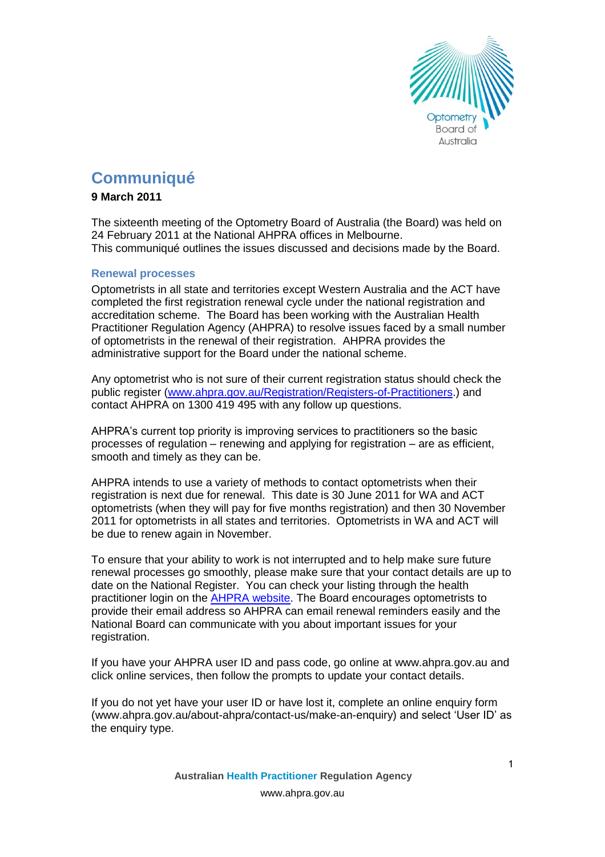

# **Communiqué**

# **9 March 2011**

The sixteenth meeting of the Optometry Board of Australia (the Board) was held on 24 February 2011 at the National AHPRA offices in Melbourne. This communiqué outlines the issues discussed and decisions made by the Board.

# **Renewal processes**

Optometrists in all state and territories except Western Australia and the ACT have completed the first registration renewal cycle under the national registration and accreditation scheme. The Board has been working with the Australian Health Practitioner Regulation Agency (AHPRA) to resolve issues faced by a small number of optometrists in the renewal of their registration. AHPRA provides the administrative support for the Board under the national scheme.

Any optometrist who is not sure of their current registration status should check the public register [\(www.ahpra.gov.au/Registration/Registers-of-Practitioners.](http://www.ahpra.gov.au/Registration/Registers-of-Practitioners)) and contact AHPRA on 1300 419 495 with any follow up questions.

AHPRA's current top priority is improving services to practitioners so the basic processes of regulation – renewing and applying for registration – are as efficient, smooth and timely as they can be.

AHPRA intends to use a variety of methods to contact optometrists when their registration is next due for renewal. This date is 30 June 2011 for WA and ACT optometrists (when they will pay for five months registration) and then 30 November 2011 for optometrists in all states and territories. Optometrists in WA and ACT will be due to renew again in November.

To ensure that your ability to work is not interrupted and to help make sure future renewal processes go smoothly, please make sure that your contact details are up to date on the National Register. You can check your listing through the health practitioner login on the [AHPRA website.](http://www.ahpra.gov.au/) The Board encourages optometrists to provide their email address so AHPRA can email renewal reminders easily and the National Board can communicate with you about important issues for your registration.

If you have your AHPRA user ID and pass code, go online at [www.ahpra.gov.au](http://www.ahpra.gov.au/) and click online services, then follow the prompts to update your contact details.

If you do not yet have your user ID or have lost it, complete an online enquiry form [\(www.ahpra.gov.au/about-ahpra/contact-us/make-an-enquiry\)](https://www.ahpra.gov.au/about-ahpra/contact-us/make-an-enquiry.aspx) and select 'User ID' as the enquiry type.